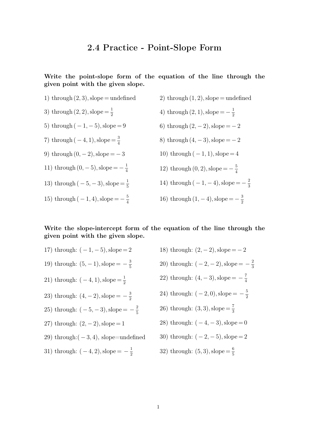## **2.4 Practice - Point-Slope Form**

**Write the point-slope form of the equation of the line through the given point with the given slope.**

1) through  $(2, 3)$ , slope = undefined 3) through  $(2, 2)$ , slope  $=\frac{1}{2}$  $\overline{2}$ 5) through  $(-1, -5)$ , slope = 9 7) through  $(-4, 1)$ , slope  $=\frac{3}{4}$ 4 9) through  $(0, -2)$ , slope =  $-3$ 11) through  $(0, -5)$ , slope =  $-\frac{1}{4}$ 4 13) through  $(-5, -3)$ , slope  $=\frac{1}{5}$ 5 15) through  $(-1, 4)$ , slope  $=-\frac{5}{4}$ 4 2) through  $(1, 2)$ , slope = undefined 4) through  $(2, 1)$ , slope  $=-\frac{1}{2}$  $\overline{2}$ 6) through  $(2, -2)$ , slope =  $-2$ 8) through  $(4, -3)$ , slope =  $-2$ 10) through  $(-1,1)$ , slope = 4 12) through  $(0, 2)$ , slope  $=-\frac{5}{4}$ 4 14) through  $(-1, -4)$ , slope  $=-\frac{2}{3}$ 3 16) through  $(1, -4)$ , slope =  $-\frac{3}{2}$  $\overline{2}$ 

## **Write the slope-intercept form of the equation of the line through the given point with the given slope.**

17) through:  $(-1, -5)$ , slope = 2 19) through:  $(5, -1)$ , slope =  $-\frac{3}{5}$ 5 21) through:  $(-4, 1)$ , slope =  $\frac{1}{2}$  $\overline{2}$ 23) through:  $(4, -2)$ , slope =  $-\frac{3}{2}$  $\overline{2}$ 25) through:  $(-5, -3)$ , slope  $=-\frac{2}{5}$ 5 27) through:  $(2, -2)$ , slope = 1 29) through: $(-3, 4)$ , slope=undefined 31) through:  $(-4, 2)$ , slope  $=-\frac{1}{2}$  $\overline{2}$ 18) through:  $(2, -2)$ , slope =  $-2$ 20) through:  $(-2, -2)$ , slope  $=-\frac{2}{3}$ 3 22) through:  $(4, -3)$ , slope =  $-\frac{7}{4}$ 4 24) through:  $(-2,0),$  slope  $=-\frac{5}{2}$  $\overline{2}$ 26) through:  $(3, 3)$ , slope =  $\frac{7}{3}$ 3 28) through:  $(-4, -3)$ , slope = 0 30) through:  $(-2, -5)$ , slope = 2 32) through:  $(5, 3)$ , slope  $=\frac{6}{5}$ 5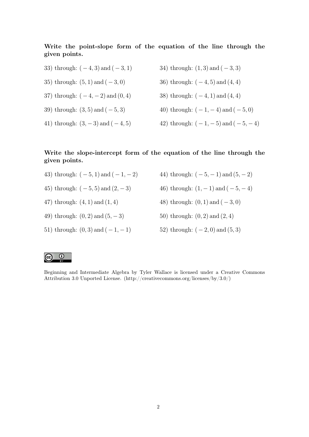**Write the point-slope form of the equation of the line through the given points.**

33) through:  $(-4, 3)$  and  $(-3, 1)$ 35) through:  $(5, 1)$  and  $(-3, 0)$ 37) through:  $(-4, -2)$  and  $(0, 4)$ 39) through:  $(3, 5)$  and  $(-5, 3)$ 41) through:  $(3, -3)$  and  $(-4, 5)$ 34) through:  $(1, 3)$  and  $(-3, 3)$ 36) through:  $(-4, 5)$  and  $(4, 4)$ 38) through:  $(-4, 1)$  and  $(4, 4)$ 40) through:  $(-1, -4)$  and  $(-5, 0)$ 42) through:  $(-1, -5)$  and  $(-5, -4)$ 

## **Write the slope-intercept form of the equation of the line through the given points.**

- 43) through:  $(-5, 1)$  and  $(-1, -2)$
- 45) through:  $(-5, 5)$  and  $(2, -3)$
- 47) through: (4, 1) and (1, 4)

49) through:  $(0, 2)$  and  $(5, -3)$ 

51) through:  $(0, 3)$  and  $(-1, -1)$ 

- 44) through:  $(-5, -1)$  and  $(5, -2)$
- 46) through:  $(1, -1)$  and  $(-5, -4)$
- 48) through:  $(0, 1)$  and  $(-3, 0)$
- 50) through: (0, 2) and (2, 4)
- 52) through:  $(-2, 0)$  and  $(5, 3)$

## $\odot$ (cc

Beginning and Intermediate Algebra by Tyler Wallace is licensed under a Creative Commons Attribution 3.0 Unported License. (http://creativecommons.org/licenses/by/3.0/)